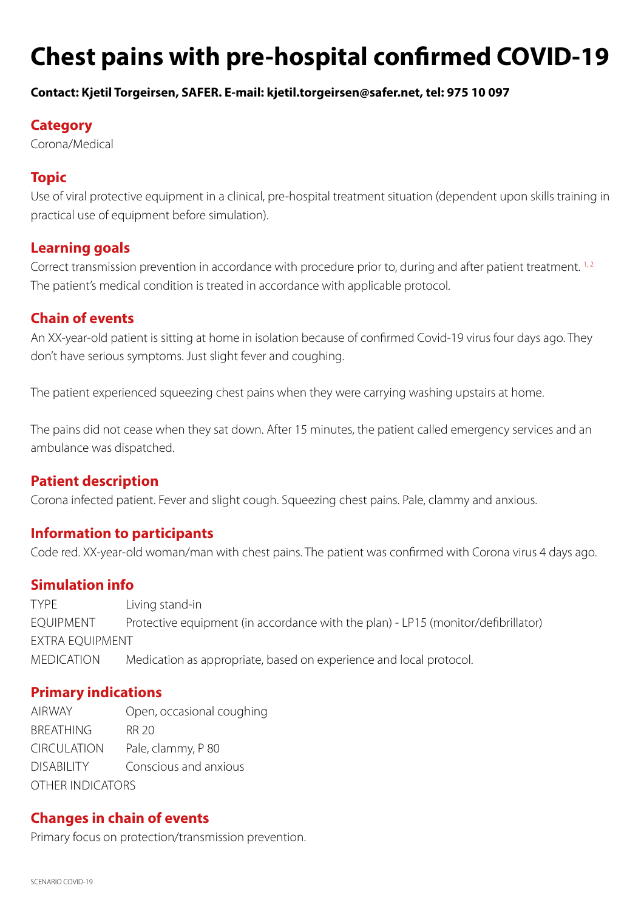# **Chest pains with pre-hospital confirmed COVID-19**

#### **Contact: Kjetil Torgeirsen, SAFER. E-mail: kjetil.torgeirsen@safer.net, tel: 975 10 097**

## **Category**

Corona/Medical

# **Topic**

Use of viral protective equipment in a clinical, pre-hospital treatment situation (dependent upon skills training in practical use of equipment before simulation).

# **Learning goals**

Correct transmission prevention in accordance with procedure prior to, during and after patient treatment.<sup>1,2</sup> The patient's medical condition is treated in accordance with applicable protocol.

# **Chain of events**

An XX-year-old patient is sitting at home in isolation because of confirmed Covid-19 virus four days ago. They don't have serious symptoms. Just slight fever and coughing.

The patient experienced squeezing chest pains when they were carrying washing upstairs at home.

The pains did not cease when they sat down. After 15 minutes, the patient called emergency services and an ambulance was dispatched.

## **Patient description**

Corona infected patient. Fever and slight cough. Squeezing chest pains. Pale, clammy and anxious.

## **Information to participants**

Code red. XX-year-old woman/man with chest pains. The patient was confirmed with Corona virus 4 days ago.

## **Simulation info**

TYPE Living stand-in EQUIPMENT Protective equipment (in accordance with the plan) - LP15 (monitor/defibrillator) EXTRA EQUIPMENT MEDICATION Medication as appropriate, based on experience and local protocol.

# **Primary indications**

AIRWAY Open, occasional coughing BREATHING RR 20 CIRCULATION Pale, clammy, P 80 DISABILITY Conscious and anxious OTHER INDICATORS

## **Changes in chain of events**

Primary focus on protection/transmission prevention.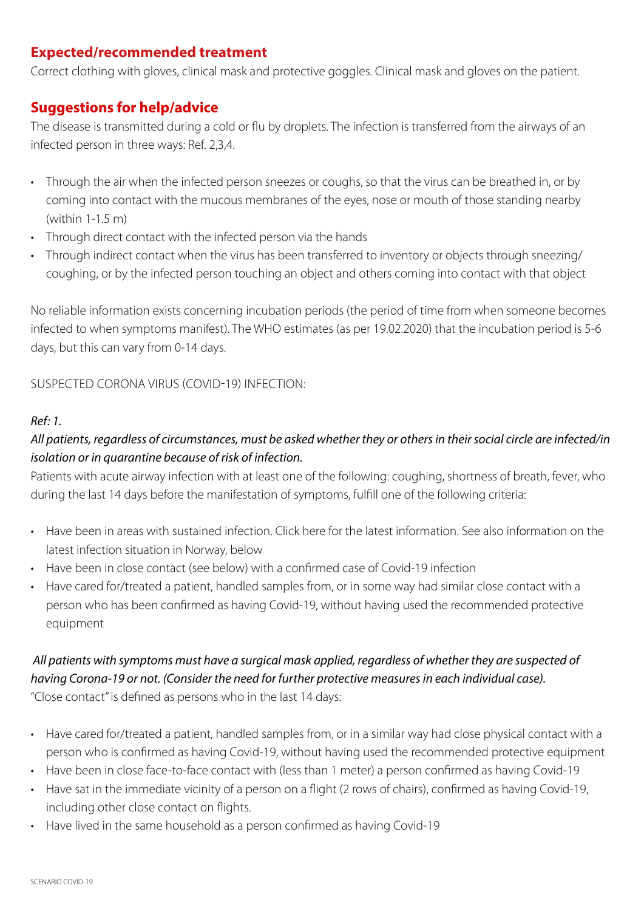# **Expected/recommended treatment**

Correct clothing with gloves, clinical mask and protective goggles. Clinical mask and gloves on the patient.

# **Suggestions for help/advice**

The disease is transmitted during a cold or flu by droplets. The infection is transferred from the airways of an infected person in three ways: Ref. 2,3,4.

- Through the air when the infected person sneezes or coughs, so that the virus can be breathed in, or by coming into contact with the mucous membranes of the eyes, nose or mouth of those standing nearby (within 1-1.5 m)
- Through direct contact with the infected person via the hands
- Through indirect contact when the virus has been transferred to inventory or objects through sneezing/ coughing, or by the infected person touching an object and others coming into contact with that object

No reliable information exists concerning incubation periods (the period of time from when someone becomes infected to when symptoms manifest). The WHO estimates (as per 19.02.2020) that the incubation period is 5-6 days, but this can vary from 0-14 days.

SUSPECTED CORONA VIRUS (COVID-19) INFECTION:

#### *Ref: 1.*

# *All patients, regardless of circumstances, must be asked whether they or others in their social circle are infected/in isolation or in quarantine because of risk of infection.*

Patients with acute airway infection with at least one of the following: coughing, shortness of breath, fever, who during the last 14 days before the manifestation of symptoms, fulfill one of the following criteria:

- Have been in areas with sustained infection. Click here for the latest information. See also information on the latest infection situation in Norway, below
- Have been in close contact (see below) with a confirmed case of Covid-19 infection
- Have cared for/treated a patient, handled samples from, or in some way had similar close contact with a person who has been confirmed as having Covid-19, without having used the recommended protective equipment

## *All patients with symptoms must have a surgical mask applied, regardless of whether they are suspected of having Corona-19 or not. (Consider the need for further protective measures in each individual case).*  "Close contact" is defined as persons who in the last 14 days:

• Have cared for/treated a patient, handled samples from, or in a similar way had close physical contact with a person who is confirmed as having Covid-19, without having used the recommended protective equipment

- Have been in close face-to-face contact with (less than 1 meter) a person confirmed as having Covid-19
- Have sat in the immediate vicinity of a person on a flight (2 rows of chairs), confirmed as having Covid-19, including other close contact on flights.
- Have lived in the same household as a person confirmed as having Covid-19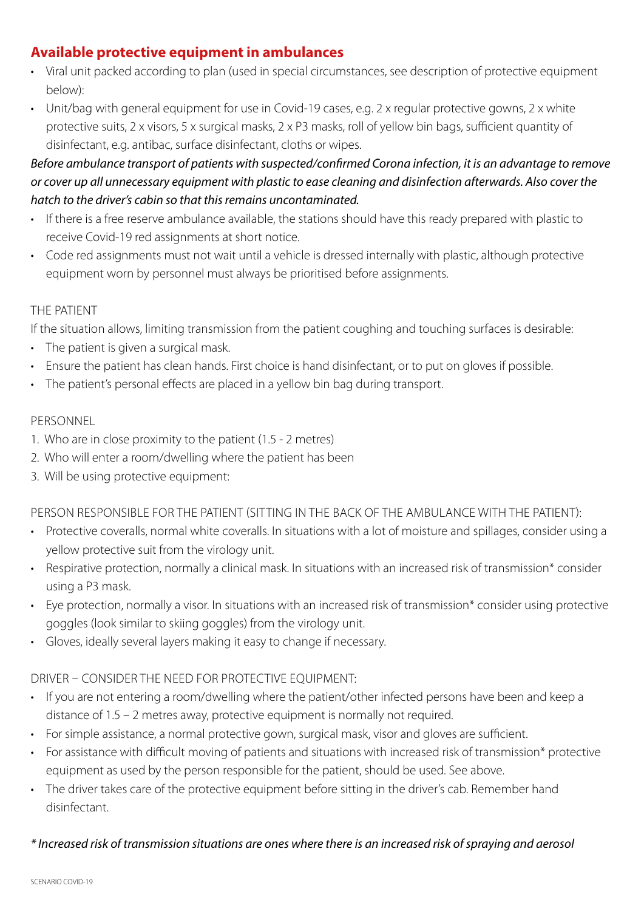# **Available protective equipment in ambulances**

- Viral unit packed according to plan (used in special circumstances, see description of protective equipment below):
- Unit/bag with general equipment for use in Covid-19 cases, e.g. 2 x regular protective gowns, 2 x white protective suits, 2 x visors, 5 x surgical masks, 2 x P3 masks, roll of yellow bin bags, sufficient quantity of disinfectant, e.g. antibac, surface disinfectant, cloths or wipes.

# *Before ambulance transport of patients with suspected/confirmed Corona infection, it is an advantage to remove or cover up all unnecessary equipment with plastic to ease cleaning and disinfection afterwards. Also cover the hatch to the driver's cabin so that this remains uncontaminated.*

- If there is a free reserve ambulance available, the stations should have this ready prepared with plastic to receive Covid-19 red assignments at short notice.
- Code red assignments must not wait until a vehicle is dressed internally with plastic, although protective equipment worn by personnel must always be prioritised before assignments.

#### THE PATIENT

If the situation allows, limiting transmission from the patient coughing and touching surfaces is desirable:

- The patient is given a surgical mask.
- Ensure the patient has clean hands. First choice is hand disinfectant, or to put on gloves if possible.
- The patient's personal effects are placed in a yellow bin bag during transport.

#### PERSONNEL

- 1. Who are in close proximity to the patient (1.5 2 metres)
- 2. Who will enter a room/dwelling where the patient has been
- 3. Will be using protective equipment:

PERSON RESPONSIBLE FOR THE PATIENT (SITTING IN THE BACK OF THE AMBULANCE WITH THE PATIENT):

- Protective coveralls, normal white coveralls. In situations with a lot of moisture and spillages, consider using a yellow protective suit from the virology unit.
- Respirative protection, normally a clinical mask. In situations with an increased risk of transmission\* consider using a P3 mask.
- Eye protection, normally a visor. In situations with an increased risk of transmission\* consider using protective goggles (look similar to skiing goggles) from the virology unit.
- Gloves, ideally several layers making it easy to change if necessary.

## DRIVER – CONSIDER THE NEED FOR PROTECTIVE EQUIPMENT:

- If you are not entering a room/dwelling where the patient/other infected persons have been and keep a distance of 1.5 – 2 metres away, protective equipment is normally not required.
- For simple assistance, a normal protective gown, surgical mask, visor and gloves are sufficient.
- For assistance with difficult moving of patients and situations with increased risk of transmission\* protective equipment as used by the person responsible for the patient, should be used. See above.
- The driver takes care of the protective equipment before sitting in the driver's cab. Remember hand disinfectant.

#### *\* Increased risk of transmission situations are ones where there is an increased risk of spraying and aerosol*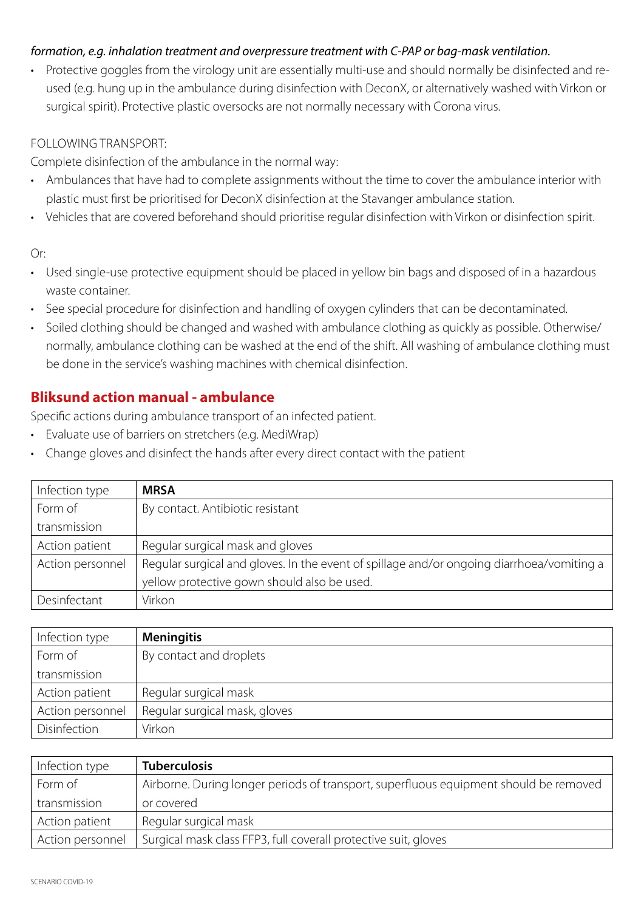#### *formation, e.g. inhalation treatment and overpressure treatment with C-PAP or bag-mask ventilation.*

• Protective goggles from the virology unit are essentially multi-use and should normally be disinfected and reused (e.g. hung up in the ambulance during disinfection with DeconX, or alternatively washed with Virkon or surgical spirit). Protective plastic oversocks are not normally necessary with Corona virus.

#### FOLLOWING TRANSPORT:

Complete disinfection of the ambulance in the normal way:

- Ambulances that have had to complete assignments without the time to cover the ambulance interior with plastic must first be prioritised for DeconX disinfection at the Stavanger ambulance station.
- Vehicles that are covered beforehand should prioritise regular disinfection with Virkon or disinfection spirit.

#### Or:

- Used single-use protective equipment should be placed in yellow bin bags and disposed of in a hazardous waste container.
- See special procedure for disinfection and handling of oxygen cylinders that can be decontaminated.
- Soiled clothing should be changed and washed with ambulance clothing as quickly as possible. Otherwise/ normally, ambulance clothing can be washed at the end of the shift. All washing of ambulance clothing must be done in the service's washing machines with chemical disinfection.

# **Bliksund action manual - ambulance**

Specific actions during ambulance transport of an infected patient.

- Evaluate use of barriers on stretchers (e.g. MediWrap)
- Change gloves and disinfect the hands after every direct contact with the patient

| Infection type   | <b>MRSA</b>                                                                               |
|------------------|-------------------------------------------------------------------------------------------|
| Form of          | By contact. Antibiotic resistant                                                          |
| transmission     |                                                                                           |
| Action patient   | Regular surgical mask and gloves                                                          |
| Action personnel | Regular surgical and gloves. In the event of spillage and/or ongoing diarrhoea/vomiting a |
|                  | yellow protective gown should also be used.                                               |
| Desinfectant     | Virkon                                                                                    |

| Infection type   | <b>Meningitis</b>             |
|------------------|-------------------------------|
| Form of          | By contact and droplets       |
| transmission     |                               |
| Action patient   | Regular surgical mask         |
| Action personnel | Regular surgical mask, gloves |
| Disinfection     | Virkon                        |

| Infection type   | <b>Tuberculosis</b>                                                                   |
|------------------|---------------------------------------------------------------------------------------|
| Form of          | Airborne. During longer periods of transport, superfluous equipment should be removed |
| transmission     | or covered                                                                            |
| Action patient   | Regular surgical mask                                                                 |
| Action personnel | Surgical mask class FFP3, full coverall protective suit, gloves                       |